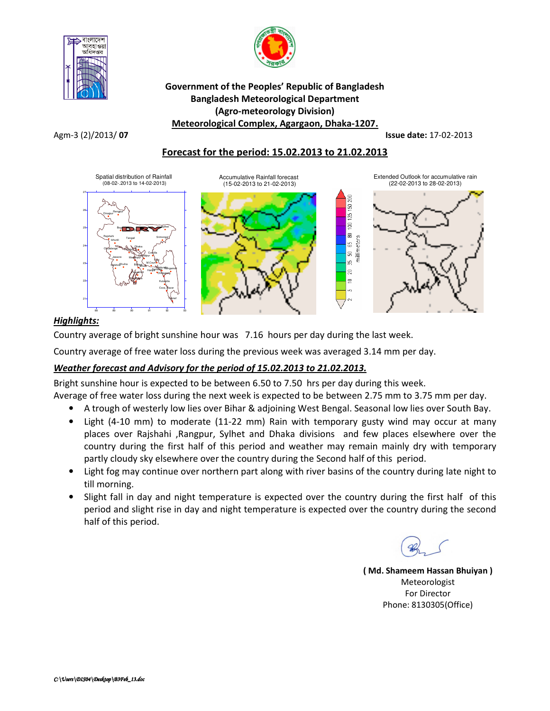



#### Government of the Peoples' Republic of Bangladesh Bangladesh Meteorological Department (Agro-meteorology Division) Meteorological Complex, Agargaon, Dhaka-1207.

Agm-3 (2)/2013/ **07 Issue date:** 17-02-2013

### Forecast for the period: 15.02.2013 to 21.02.2013



# Highlights:

Country average of bright sunshine hour was 7.16 hours per day during the last week.

Country average of free water loss during the previous week was averaged 3.14 mm per day.

# Weather forecast and Advisory for the period of 15.02.2013 to 21.02.2013.

Bright sunshine hour is expected to be between 6.50 to 7.50 hrs per day during this week.

Average of free water loss during the next week is expected to be between 2.75 mm to 3.75 mm per day.

- A trough of westerly low lies over Bihar & adjoining West Bengal. Seasonal low lies over South Bay.
- Light (4-10 mm) to moderate (11-22 mm) Rain with temporary gusty wind may occur at many places over Rajshahi ,Rangpur, Sylhet and Dhaka divisions and few places elsewhere over the country during the first half of this period and weather may remain mainly dry with temporary partly cloudy sky elsewhere over the country during the Second half of this period.
- Light fog may continue over northern part along with river basins of the country during late night to till morning.
- Slight fall in day and night temperature is expected over the country during the first half of this period and slight rise in day and night temperature is expected over the country during the second half of this period.

( Md. Shameem Hassan Bhuiyan ) Meteorologist For Director Phone: 8130305(Office)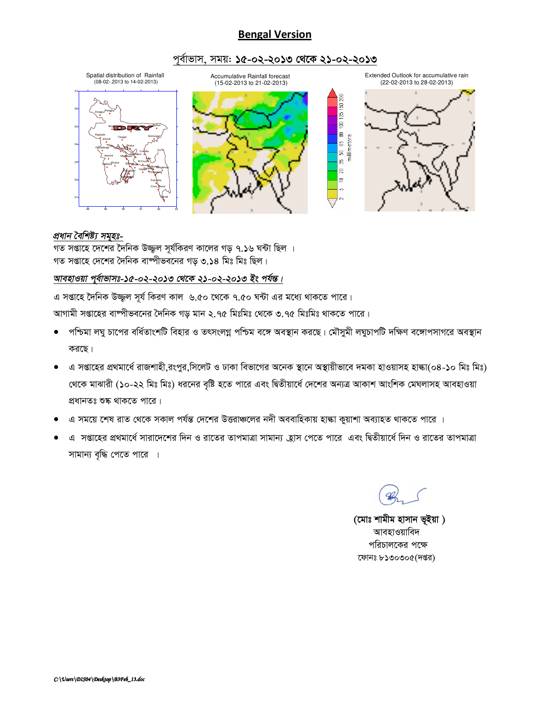# **Bengal Version**

#### পূর্বাভাস, সময়: ১৫-০২-২০১৩ থেকে ২১-০২-২০১৩



#### প্ৰধান বৈশিষ্ট্য সমূহঃ-

গত সপ্তাহে দেশের দৈনিক উজ্জল সূর্যকিরণ কালের গড় ৭.১৬ ঘন্টা ছিল । গত সপ্তাহে দেশের দৈনিক বাম্পীভবনের গড় ৩.১৪ মিঃ মিঃ ছিল।

#### আবহাওয়া পূর্বাভাসঃ-১৫-০২-২০১৩ থেকে ২১-০২-২০১৩ ইং পর্যন্ত।

এ সপ্তাহে দৈনিক উজ্জল সূর্য কিরণ কাল ৬.৫০ থেকে ৭.৫০ ঘন্টা এর মধ্যে থাকতে পারে।

আগামী সপ্তাহের বাষ্পীভবনের দৈনিক গড় মান ২.৭৫ মিঃমিঃ থেকে ৩.৭৫ মিঃমিঃ থাকতে পারে।

- পশ্চিমা লঘু চাপের বর্ধিতাংশটি বিহার ও তৎসংলগ্ন পশ্চিম বঙ্গে অবস্থান করছে। মৌসুমী লঘুচাপটি দক্ষিণ বঙ্গোপসাগরে অবস্থান  $\bullet$ করছে।
- এ সপ্তাহের প্রথমার্ধে রাজশাহী,রংপুর,সিলেট ও ঢাকা বিভাগের অনেক স্থানে অস্থায়ীভাবে দমকা হাওয়াসহ হাঙ্কা(০৪-১০ মিঃ মিঃ) থেকে মাঝারী (১০-২২ মিঃ মিঃ) ধরনের বৃষ্টি হতে পারে এবং দ্বিতীয়ার্ধে দেশের অন্যত্র আকাশ আংশিক মেঘলাসহ আবহাওয়া প্রধানতঃ শুষ্ক থাকতে পারে।
- এ সময়ে শেষ রাত থেকে সকাল পর্যন্ত দেশের উত্তরাঞ্চলের নদী অববাহিকায় হাঙ্কা কুয়াশা অব্যাহত থাকতে পারে ।
- এ সপ্তাহের প্রথমার্ধে সারাদেশের দিন ও রাতের তাপমাত্রা সামান্য হ্রাস পেতে পারে এবং দ্বিতীয়ার্ধে দিন ও রাতের তাপমাত্রা সামান্য বৃদ্ধি পেতে পারে ।

(মোঃ শামীম হাসান ভূইয়া) আবহাওয়াবিদ পরিচালকের পক্ষে ফোনঃ ৮১৩০৩০৫(দপ্তর)